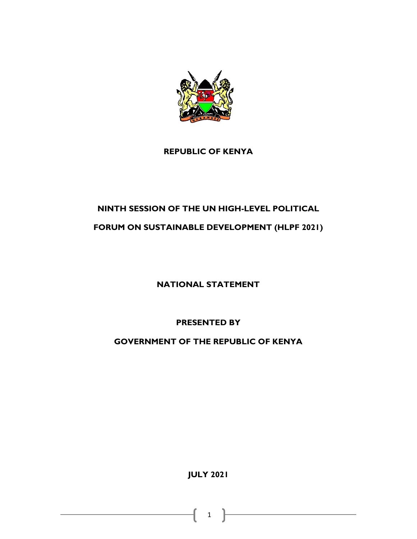

## **REPUBLIC OF KENYA**

## **NINTH SESSION OF THE UN HIGH-LEVEL POLITICAL**

## **FORUM ON SUSTAINABLE DEVELOPMENT (HLPF 2021)**

**NATIONAL STATEMENT**

**PRESENTED BY**

**GOVERNMENT OF THE REPUBLIC OF KENYA**

**JULY 2021**

1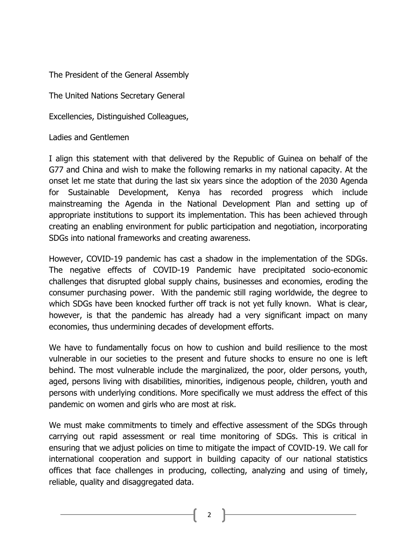The President of the General Assembly

The United Nations Secretary General

Excellencies, Distinguished Colleagues,

Ladies and Gentlemen

I align this statement with that delivered by the Republic of Guinea on behalf of the G77 and China and wish to make the following remarks in my national capacity. At the onset let me state that during the last six years since the adoption of the 2030 Agenda for Sustainable Development, Kenya has recorded progress which include mainstreaming the Agenda in the National Development Plan and setting up of appropriate institutions to support its implementation. This has been achieved through creating an enabling environment for public participation and negotiation, incorporating SDGs into national frameworks and creating awareness.

However, COVID-19 pandemic has cast a shadow in the implementation of the SDGs. The negative effects of COVID-19 Pandemic have precipitated socio-economic challenges that disrupted global supply chains, businesses and economies, eroding the consumer purchasing power. With the pandemic still raging worldwide, the degree to which SDGs have been knocked further off track is not yet fully known. What is clear, however, is that the pandemic has already had a very significant impact on many economies, thus undermining decades of development efforts.

We have to fundamentally focus on how to cushion and build resilience to the most vulnerable in our societies to the present and future shocks to ensure no one is left behind. The most vulnerable include the marginalized, the poor, older persons, youth, aged, persons living with disabilities, minorities, indigenous people, children, youth and persons with underlying conditions. More specifically we must address the effect of this pandemic on women and girls who are most at risk.

We must make commitments to timely and effective assessment of the SDGs through carrying out rapid assessment or real time monitoring of SDGs. This is critical in ensuring that we adjust policies on time to mitigate the impact of COVID-19. We call for international cooperation and support in building capacity of our national statistics offices that face challenges in producing, collecting, analyzing and using of timely, reliable, quality and disaggregated data.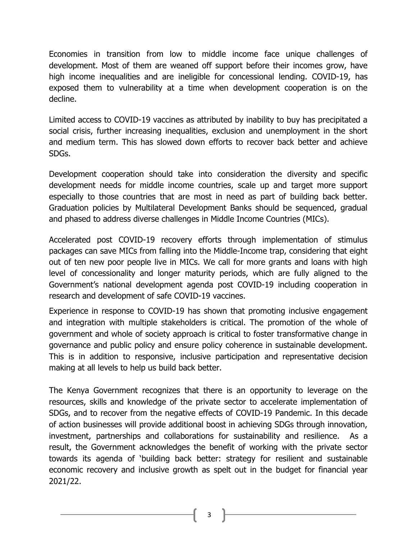Economies in transition from low to middle income face unique challenges of development. Most of them are weaned off support before their incomes grow, have high income inequalities and are ineligible for concessional lending. COVID-19, has exposed them to vulnerability at a time when development cooperation is on the decline.

Limited access to COVID-19 vaccines as attributed by inability to buy has precipitated a social crisis, further increasing inequalities, exclusion and unemployment in the short and medium term. This has slowed down efforts to recover back better and achieve SDGs.

Development cooperation should take into consideration the diversity and specific development needs for middle income countries, scale up and target more support especially to those countries that are most in need as part of building back better. Graduation policies by Multilateral Development Banks should be sequenced, gradual and phased to address diverse challenges in Middle Income Countries (MICs).

Accelerated post COVID-19 recovery efforts through implementation of stimulus packages can save MICs from falling into the Middle-Income trap, considering that eight out of ten new poor people live in MICs. We call for more grants and loans with high level of concessionality and longer maturity periods, which are fully aligned to the Government's national development agenda post COVID-19 including cooperation in research and development of safe COVID-19 vaccines.

Experience in response to COVID-19 has shown that promoting inclusive engagement and integration with multiple stakeholders is critical. The promotion of the whole of government and whole of society approach is critical to foster transformative change in governance and public policy and ensure policy coherence in sustainable development. This is in addition to responsive, inclusive participation and representative decision making at all levels to help us build back better.

The Kenya Government recognizes that there is an opportunity to leverage on the resources, skills and knowledge of the private sector to accelerate implementation of SDGs, and to recover from the negative effects of COVID-19 Pandemic. In this decade of action businesses will provide additional boost in achieving SDGs through innovation, investment, partnerships and collaborations for sustainability and resilience. As a result, the Government acknowledges the benefit of working with the private sector towards its agenda of 'building back better: strategy for resilient and sustainable economic recovery and inclusive growth as spelt out in the budget for financial year 2021/22.